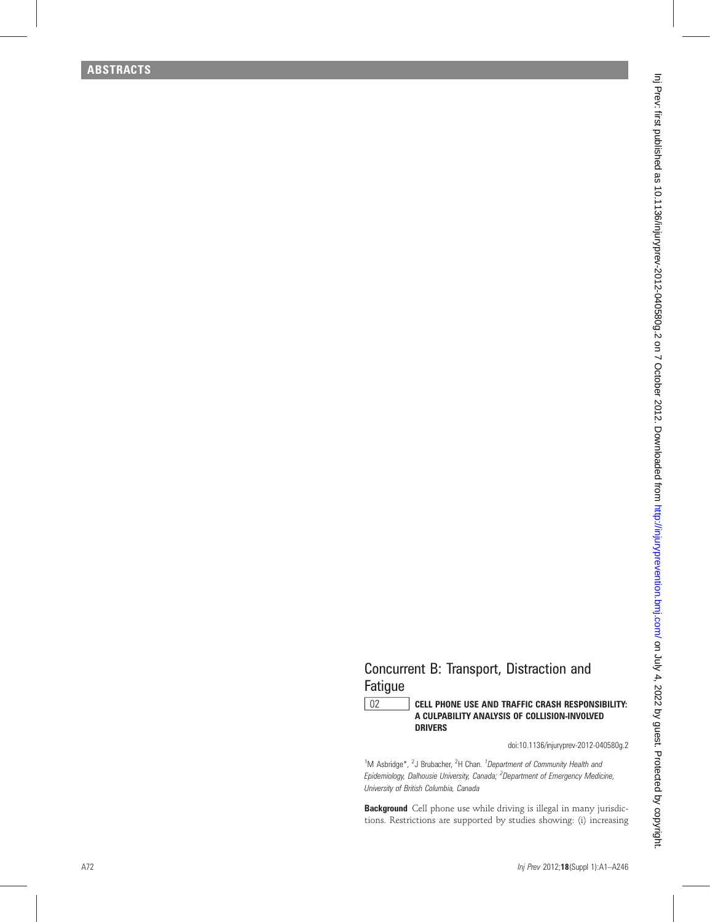## Concurrent B: Transport, Distraction and Fatigue

## 02 CELL PHONE USE AND TRAFFIC CRASH RESPONSIBILITY: A CULPABILITY ANALYSIS OF COLLISION-INVOLVED DRIVERS

doi:10.1136/injuryprev-2012-040580g.2

<sup>1</sup>M Asbridge\*, <sup>2</sup>J Brubacher, <sup>2</sup>H Chan. <sup>1</sup>Department of Community Health and Epidemiology, Dalhousie University, Canada; <sup>2</sup>Department of Emergency Medicine, University of British Columbia, Canada

**Background** Cell phone use while driving is illegal in many jurisdictions. Restrictions are supported by studies showing: (i) increasing